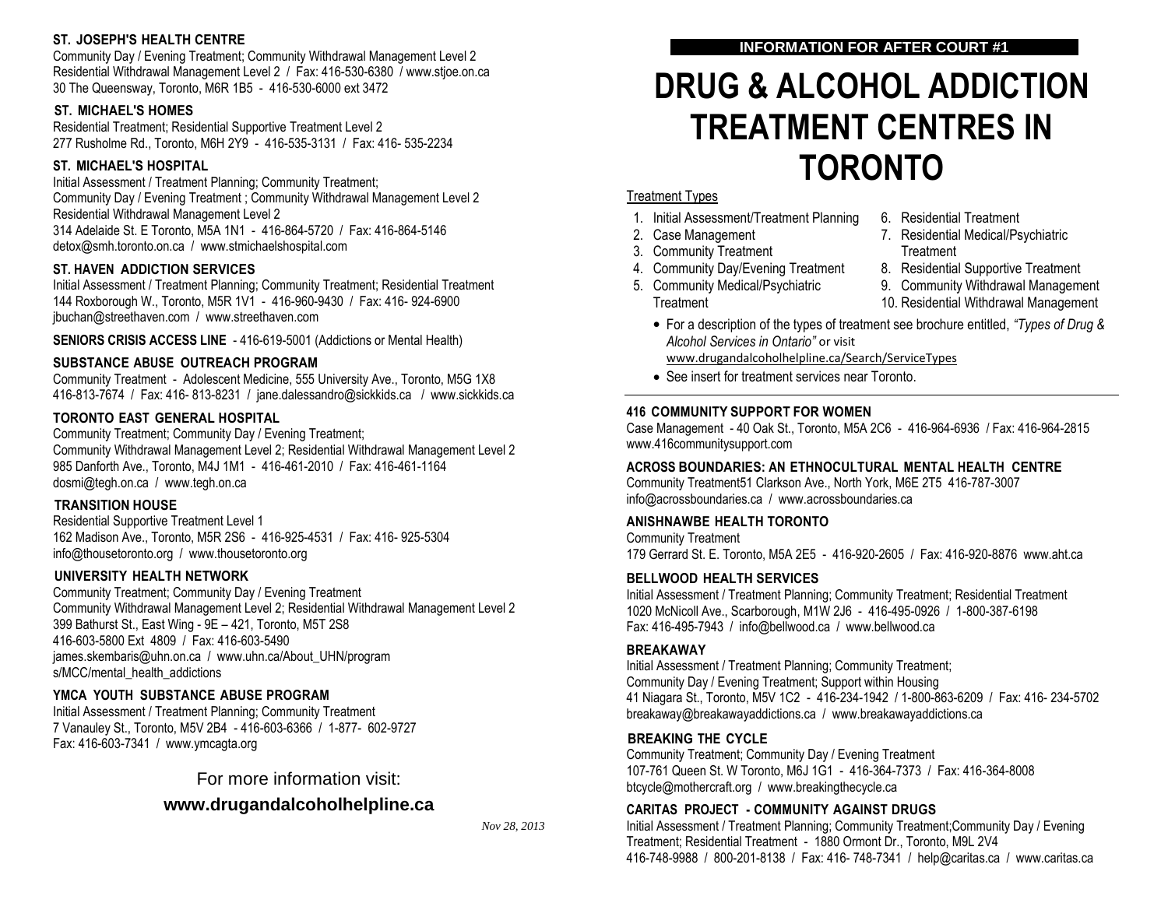### **ST. JOSEPH'S HEALTH CENTRE**

Community Day / Evening Treatment; Community Withdrawal Management Level 2 Residential Withdrawal Management Level 2 / Fax: 416-530-6380 / www.stjoe.on.ca 30 The Queensway, Toronto, M6R 1B5 - 416-530-6000 ext 3472

## **ST. MICHAEL'S HOMES**

Residential Treatment; Residential Supportive Treatment Level 2 277 Rusholme Rd., Toronto, M6H 2Y9 - 416-535-3131 / Fax: 416- 535-2234

## **ST. MICHAEL'S HOSPITAL**

Initial Assessment / Treatment Planning; Community Treatment; Community Day / Evening Treatment ; Community Withdrawal Management Level 2 Residential Withdrawal Management Level 2 314 Adelaide St. E Toronto, M5A 1N1 - 416-864-5720 / Fax: 416-864-5146 detox@smh.toronto.on.ca / www.stmichaelshospital.com

## **ST. HAVEN ADDICTION SERVICES**

Initial Assessment / Treatment Planning; Community Treatment; Residential Treatment 144 Roxborough W., Toronto, M5R 1V1 - 416-960-9430 / Fax: 416- 924-6900 jbuchan@streethaven.com / www.streethaven.com

**SENIORS CRISIS ACCESS LINE** - 416-619-5001 (Addictions or Mental Health)

## **SUBSTANCE ABUSE OUTREACH PROGRAM**

Community Treatment - Adolescent Medicine, 555 University Ave., Toronto, M5G 1X8 416-813-7674 / Fax: 416- 813-8231 / jane.dalessandro@sickkids.ca / [w](http://www.sickkids.ca/)ww.sickkids.ca

# **TORONTO EAST GENERAL HOSPITAL**

Community Treatment; Community Day / Evening Treatment; Community Withdrawal Management Level 2; Residential Withdrawal Management Level 2 985 Danforth Ave., Toronto, M4J 1M1 - 416-461-2010 / Fax: 416-461-1164 dosmi@tegh.on.ca / www.tegh.on.ca

#### **TRANSITION HOUSE**

Residential Supportive Treatment Level 1 162 Madison Ave., Toronto, M5R 2S6 - 416-925-4531 / Fax: 416- 925-5304 info@thousetoronto.org / www.thousetoronto.org

#### **UNIVERSITY HEALTH NETWORK**

Community Treatment; Community Day / Evening Treatment Community Withdrawal Management Level 2; Residential Withdrawal Management Level 2 399 Bathurst St., East Wing - 9E – 421, Toronto, M5T 2S8 416-603-5800 Ext 4809 / Fax: 416-603-5490 james.skembaris@uhn.on.ca / www.uhn.ca/About\_UHN/program s/MCC/mental\_health\_addictions

# **YMCA YOUTH SUBSTANCE ABUSE PROGRAM**

Initial Assessment / Treatment Planning; Community Treatment 7 Vanauley St., Toronto, M5V 2B4 - 416-603-6366 / 1-877- 602-972[7](http://www.ymcagta.org/) Fax: 416-603-7341 / www.ymcagta.org

For more information visit:

# **www.drugandalcoholhelpline.ca**

*Nov 28, 2013*

# **INFORMATION FOR AFTER COURT #1**

# **DRUG & ALCOHOL ADDICTION TREATMENT CENTRES IN TORONTO**

#### Treatment Types

- 1. Initial Assessment/Treatment Planning
- 2. Case Management
- 3. Community Treatment
- 4. Community Day/Evening Treatment
- 5. Community Medical/Psychiatric **Treatment**
- 6. Residential Treatment
- 7. Residential Medical/Psychiatric **Treatment**
- 8. Residential Supportive Treatment
- 9. Community Withdrawal Management
- 10. Residential Withdrawal Management
- For a description of the types of treatment see brochure entitled, *"Types of Drug & Alcohol Services in Ontario"* or visit

www.drugandalcoholhelpline.ca/Search/ServiceTypes

See insert for treatment services near Toronto.

#### **416 COMMUNITY SUPPORT FOR WOMEN**

Case Management - 40 Oak St., Toronto, M5A 2C6 - 416-964-6936 / Fax: 416-964-2815 www.416communitysupport.com

# **ACROSS BOUNDARIES: AN ETHNOCULTURAL MENTAL HEALTH CENTRE**

Community Treatment51 Clarkson Ave., North York, M6E 2T5 416-787-3007 info@acrossboundaries.ca [/](http://www.acrossboundaries.ca/) www.acrossboundaries.ca

#### **ANISHNAWBE HEALTH TORONTO**

Community Treatment 179 Gerrard St. E. Toronto, M5A 2E5 - 416-920-2605 / Fax: 416-920-8876 [www.aht.ca](http://www.aht.ca/)

# **BELLWOOD HEALTH SERVICES**

Initial Assessment / Treatment Planning; Community Treatment; Residential Treatment 1020 McNicoll Ave., Scarborough, M1W 2J6 - 416-495-0926 / 1-800-387-6198 Fax: 416-495-7943 / [info@bellwood.ca](mailto:info@bellwood.ca) [/ w](http://www.bellwood.ca/)ww.bellwood.ca

#### **BREAKAWAY**

Initial Assessment / Treatment Planning; Community Treatment; Community Day / Evening Treatment; Support within Housing 41 Niagara St., Toronto, M5V 1C2 - 416-234-1942 / 1-800-863-6209 / Fax: 416- 234-5702 breakaway@breakawayaddictions.ca / www.breakawayaddictions.ca

#### **BREAKING THE CYCLE**

Community Treatment; Community Day / Evening Treatment 107-761 Queen St. W Toronto, M6J 1G1 - 416-364-7373 / Fax: 416-364-8008 [btcycle@mothercraft.org](mailto:btcycle@mothercraft.org) / www.breakingthecycle.ca

# **CARITAS PROJECT - COMMUNITY AGAINST DRUGS**

Initial Assessment / Treatment Planning; Community Treatment;Community Day / Evening Treatment; Residential Treatment - 1880 Ormont Dr., Toronto, M9L 2V4 416-748-9988 / 800-201-8138 / Fax: 416- 748-7341 / [help@caritas.ca](mailto:help@caritas.ca) / [www.caritas.ca](http://www.caritas.ca/)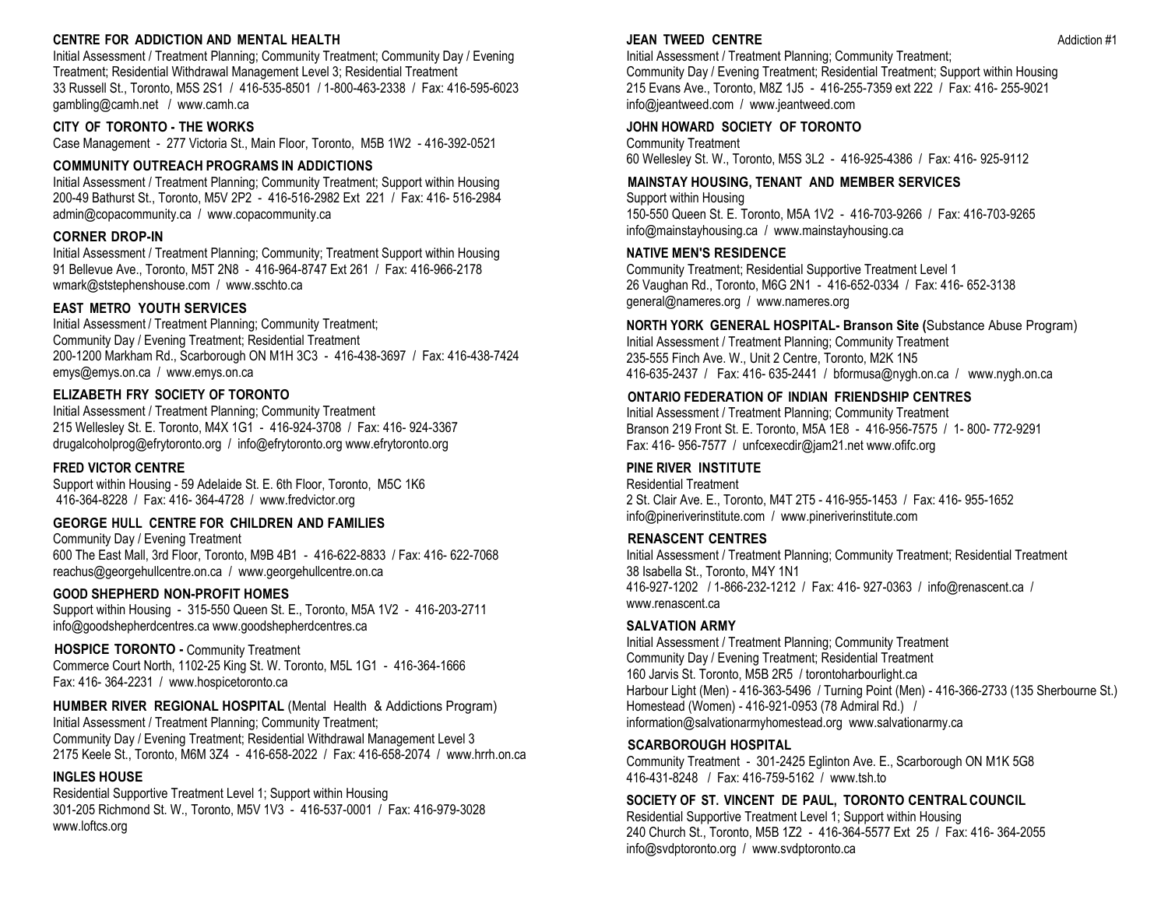#### **CENTRE FOR ADDICTION AND MENTAL HEALTH**

Initial Assessment / Treatment Planning; Community Treatment; Community Day / Evening Treatment; Residential Withdrawal Management Level 3; Residential Treatment 33 Russell St., Toronto, M5S 2S1 / 416-535-8501 / 1-800-463-2338 / Fax: 416-595-6023 gambling@camh.net / www.camh.ca

#### **CITY OF TORONTO - THE WORKS**

Case Management - 277 Victoria St., Main Floor, Toronto, M5B 1W2 - 416-392-0521

#### **COMMUNITY OUTREACH PROGRAMS IN ADDICTIONS**

Initial Assessment / Treatment Planning; Community Treatment; Support within Housing 200-49 Bathurst St., Toronto, M5V 2P2 - 416-516-2982 Ext 221 / Fax: 416- 516-2984 admin@copacommunity.ca / www.copacommunity.ca

#### **CORNER DROP-IN**

Initial Assessment / Treatment Planning; Community; Treatment Support within Housing 91 Bellevue Ave., Toronto, M5T 2N8 - 416-964-8747 Ext 261 / Fax: 416-966-2178 wmark@ststephenshouse.com / www.sschto.ca

#### **EAST METRO YOUTH SERVICES**

Initial Assessment / Treatment Planning; Community Treatment; Community Day / Evening Treatment; Residential Treatment 200-1200 Markham Rd., Scarborough ON M1H 3C3 - 416-438-3697 / Fax: 416-438-7424 emys@emys.on.c[a](http://www.emys.on.ca/) / www.emys.on.ca

#### **ELIZABETH FRY SOCIETY OF TORONTO**

Initial Assessment / Treatment Planning; Community Treatment 215 Wellesley St. E. Toronto, M4X 1G1 - 416-924-3708 / Fax: 416- 924-3367 drugalcoholprog@efrytoronto.org / info@efrytoronto.org www.efrytoronto.org

#### **FRED VICTOR CENTRE**

Support within Housing - 59 Adelaide St. E. 6th Floor, Toronto, M5C 1K6 416-364-8228 / Fax: 416- 364-4728 / [www.fredvictor.org](http://www.fredvictor.org/)

#### **GEORGE HULL CENTRE FOR CHILDREN AND FAMILIES**

Community Day / Evening Treatment 600 The East Mall, 3rd Floor, Toronto, M9B 4B1 - 416-622-8833 / Fax: 416- 622-7068 reachus@georgehullcentre.on.ca [/](http://www.georgehullcentre.on.ca/) www.georgehullcentre.on.ca

#### **GOOD SHEPHERD NON-PROFIT HOMES**

Support within Housing - 315-550 Queen St. E., Toronto, M5A 1V2 - 416-203-2711 [info@goodshepherdcentres.ca w](mailto:info@goodshepherdcentres.ca?subject=From%20the%20Good%20Shepherd%20Website)ww.goodshepherdcentres.ca

#### **HOSPICE TORONTO -** Community Treatment Commerce Court North, 1102-25 King St. W. Toronto, M5L 1G1 - 416-364-1666 Fax: 416- 364-2231 / www.hospicetoronto.ca

**HUMBER RIVER REGIONAL HOSPITAL** (Mental Health & Addictions Program) Initial Assessment / Treatment Planning; Community Treatment; Community Day / Evening Treatment; Residential Withdrawal Management Level 3 2175 Keele St., Toronto, M6M 3Z4 - 416-658-2022 / Fax: 416-658-2074 / www.hrrh.on.ca

#### **INGLES HOUSE**

Residential Supportive Treatment Level 1; Support within Housing 301-205 Richmond St. W., Toronto, M5V 1V3 - 416-537-0001 / Fax: 416-979-3028 [www.loftcs.org](http://www.loftcs.org/)

#### **JEAN TWEED CENTRE Addiction #1**

Initial Assessment / Treatment Planning; Community Treatment; Community Day / Evening Treatment; Residential Treatment; Support within Housing 215 Evans Ave., Toronto, M8Z 1J5 - 416-255-7359 ext 222 / Fax: 416- 255-9021 [info@jeantweed.com](mailto:info@jeantweed.com) / [www.jeantweed.com](http://www.jeantweed.com/)

#### **JOHN HOWARD SOCIETY OF TORONTO**

Community Treatment 60 Wellesley St. W., Toronto, M5S 3L2 - 416-925-4386 / Fax: 416- 925-9112

#### **MAINSTAY HOUSING, TENANT AND MEMBER SERVICES**

Support within Housing 150-550 Queen St. E. Toronto, M5A 1V2 - 416-703-9266 / Fax: 416-703-9265 [info@mainstayhousing.ca](mailto:info@mainstayhousing.ca) / www.mainstayhousing.ca

#### **NATIVE MEN'S RESIDENCE**

Community Treatment; Residential Supportive Treatment Level 1 26 Vaughan Rd., Toronto, M6G 2N1 - 416-652-0334 / Fax: 416- 652-3138 [general@nameres.org](mailto:general@nameres.org) / [www.nameres.org](http://www.nameres.org/)

#### **NORTH YORK GENERAL HOSPITAL- Branson Site (**Substance Abuse Program)

Initial Assessment / Treatment Planning; Community Treatment 235-555 Finch Ave. W., Unit 2 Centre, Toronto, M2K 1N5 416-635-2437 / Fax: 416- 635-2441 / bformusa@nygh.on.ca / www.nygh.on.ca

#### **ONTARIO FEDERATION OF INDIAN FRIENDSHIP CENTRES**

Initial Assessment / Treatment Planning; Community Treatment Branson 219 Front St. E. Toronto, M5A 1E8 - 416-956-7575 / 1- 800- 772-9291 Fax: 416- 956-7577 / unfcexecdir@jam21.n[et](http://www.ofifc.org/) www.ofifc.org

#### **PINE RIVER INSTITUTE**

Residential Treatment 2 St. Clair Ave. E., Toronto, M4T 2T5 - 416-955-1453 / Fax: 416- 955-1652 info@pineriverinstitute.com / www.pineriverinstitute.com

#### **RENASCENT CENTRES**

Initial Assessment / Treatment Planning; Community Treatment; Residential Treatment 38 Isabella St., Toronto, M4Y 1N1 416-927-1202 / 1-866-232-1212 / Fax: 416- 927-0363 / info@renascent.c[a](http://www.renascent.ca/) / www.renascent.ca

#### **SALVATION ARMY**

Initial Assessment / Treatment Planning; Community Treatment Community Day / Evening Treatment; Residential Treatment 160 Jarvis St. Toronto, M5B 2R5 / torontoharbourlight.ca Harbour Light (Men) - 416-363-5496 / Turning Point (Men) - 416-366-2733 (135 Sherbourne St.) Homestead (Women) - 416-921-0953 (78 Admiral Rd.) / information@salvationarmyhomestead.org www.salvationarmy.ca

#### **SCARBOROUGH HOSPITAL**

Community Treatment - 301-2425 Eglinton Ave. E., Scarborough ON M1K 5G8 416-431-8248 / Fax: 416-759-5162 / www.tsh.to

#### **SOCIETY OF ST. VINCENT DE PAUL, TORONTO CENTRALCOUNCIL**

Residential Supportive Treatment Level 1; Support within Housing 240 Church St., Toronto, M5B 1Z2 - 416-364-5577 Ext 25 / Fax: 416- 364-2055 info@svdptoronto.org / www.svdptoronto.ca